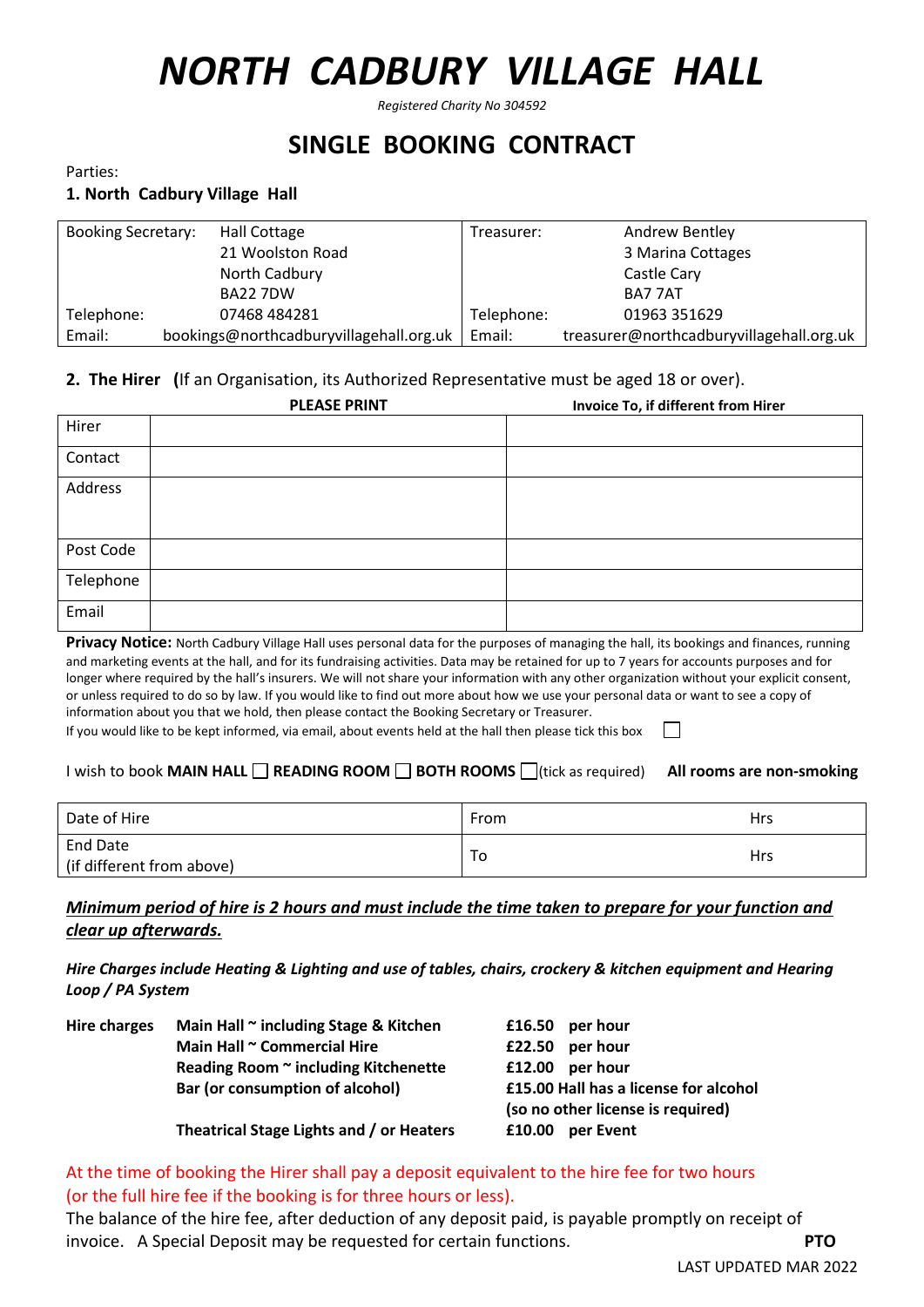# *NORTH CADBURY VILLAGE HALL*

*Registered Charity No 304592*

# **SINGLE BOOKING CONTRACT**

Parties:

# **1. North Cadbury Village Hall**

| <b>Booking Secretary:</b> | Hall Cottage                            | Treasurer: | <b>Andrew Bentley</b>                    |
|---------------------------|-----------------------------------------|------------|------------------------------------------|
|                           | 21 Woolston Road                        |            | 3 Marina Cottages                        |
|                           | North Cadbury                           |            | Castle Cary                              |
|                           | <b>BA22 7DW</b>                         |            | BA7 7AT                                  |
| Telephone:                | 07468 484281                            | Telephone: | 01963 351629                             |
| Email:                    | bookings@northcadburyvillagehall.org.uk | Email:     | treasurer@northcadburyvillagehall.org.uk |

# **2. The Hirer (**If an Organisation, its Authorized Representative must be aged 18 or over).

|           | <b>PLEASE PRINT</b> | Invoice To, if different from Hirer |
|-----------|---------------------|-------------------------------------|
| Hirer     |                     |                                     |
| Contact   |                     |                                     |
| Address   |                     |                                     |
| Post Code |                     |                                     |
| Telephone |                     |                                     |
| Email     |                     |                                     |

**Privacy Notice:** North Cadbury Village Hall uses personal data for the purposes of managing the hall, its bookings and finances, running and marketing events at the hall, and for its fundraising activities. Data may be retained for up to 7 years for accounts purposes and for longer where required by the hall's insurers. We will not share your information with any other organization without your explicit consent, or unless required to do so by law. If you would like to find out more about how we use your personal data or want to see a copy of information about you that we hold, then please contact the Booking Secretary or Treasurer.

 $\mathcal{L}^{\mathcal{L}}$ If you would like to be kept informed, via email, about events held at the hall then please tick this box

# **I wish to book MAIN HALL ■ READING ROOM ■ BOTH ROOMS** (tick as required) All rooms are non-smoking

| Date of Hire                          | From | <b>Hrs</b> |
|---------------------------------------|------|------------|
| End Date<br>(if different from above) | To   | Hrs        |

# *Minimum period of hire is 2 hours and must include the time taken to prepare for your function and clear up afterwards.*

*Hire Charges include Heating & Lighting and use of tables, chairs, crockery & kitchen equipment and Hearing Loop / PA System*

| Hire charges | Main Hall $\sim$ including Stage & Kitchen | per hour<br>£16.50                    |
|--------------|--------------------------------------------|---------------------------------------|
|              | Main Hall ~ Commercial Hire                | per hour<br>£22.50                    |
|              | Reading Room ~ including Kitchenette       | £12.00<br>per hour                    |
|              | Bar (or consumption of alcohol)            | £15.00 Hall has a license for alcohol |
|              |                                            | (so no other license is required)     |
|              | Theatrical Stage Lights and / or Heaters   | £10.00<br>per Event                   |

# At the time of booking the Hirer shall pay a deposit equivalent to the hire fee for two hours (or the full hire fee if the booking is for three hours or less).

The balance of the hire fee, after deduction of any deposit paid, is payable promptly on receipt of invoice. A Special Deposit may be requested for certain functions. **PTO**